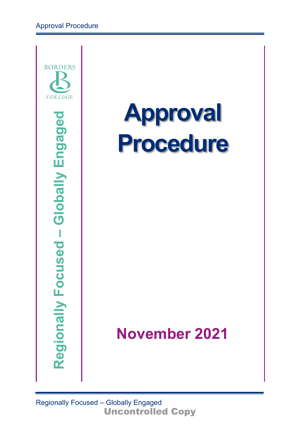

# **Approval Procedure**

# **November 2021**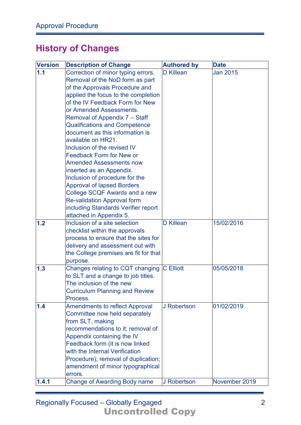# **History of Changes**

| <b>Version</b> | <b>Description of Change</b>                                                                                                                                                                                                                                                                                                                                                                                                                                                                                                                                                                                                                                                                                                                                                                                                                                                           | <b>Authored by</b>                   | <b>Date</b>                   |
|----------------|----------------------------------------------------------------------------------------------------------------------------------------------------------------------------------------------------------------------------------------------------------------------------------------------------------------------------------------------------------------------------------------------------------------------------------------------------------------------------------------------------------------------------------------------------------------------------------------------------------------------------------------------------------------------------------------------------------------------------------------------------------------------------------------------------------------------------------------------------------------------------------------|--------------------------------------|-------------------------------|
| 1.1<br>1.2     | Correction of minor typing errors.<br>Removal of the NoD form as part<br>of the Approvals Procedure and<br>applied the focus to the completion<br>of the IV Feedback Form for New<br>or Amended Assessments.<br>Removal of Appendix 7 – Staff<br><b>Qualifications and Competence</b><br>document as this information is<br>available on HR21.<br>Inclusion of the revised IV<br><b>Feedback Form for New or</b><br><b>Amended Assessments now</b><br>inserted as an Appendix.<br>Inclusion of procedure for the<br><b>Approval of lapsed Borders</b><br>College SCQF Awards and a new<br><b>Re-validation Approval form</b><br>including Standards Verifier report<br>attached in Appendix 5.<br>Inclusion of a site selection<br>checklist within the approvals<br>process to ensure that the sites for<br>delivery and assessment out with<br>the College premises are fit for that | <b>D</b> Killean<br><b>D</b> Killean | <b>Jan 2015</b><br>15/02/2016 |
| 1.3            | purpose.<br>Changes relating to CQT changing<br>to SLT and a change to job titles.                                                                                                                                                                                                                                                                                                                                                                                                                                                                                                                                                                                                                                                                                                                                                                                                     | <b>C</b> Elliott                     | 05/05/2018                    |
|                | The inclusion of the new<br><b>Curriculum Planning and Review</b><br>Process.                                                                                                                                                                                                                                                                                                                                                                                                                                                                                                                                                                                                                                                                                                                                                                                                          |                                      |                               |
| 1.4            | <b>Amendments to reflect Approval</b><br>Committee now held separately<br>from SLT, making<br>recommendations to it; removal of<br>Appendix containing the IV<br>Feedback form (it is now linked<br>with the Internal Verification<br>Procedure); removal of duplication;<br>amendment of minor typographical<br>errors.                                                                                                                                                                                                                                                                                                                                                                                                                                                                                                                                                               | J Robertson                          | 01/02/2019                    |
| 1.4.1          | <b>Change of Awarding Body name</b>                                                                                                                                                                                                                                                                                                                                                                                                                                                                                                                                                                                                                                                                                                                                                                                                                                                    | J Robertson                          | November 2019                 |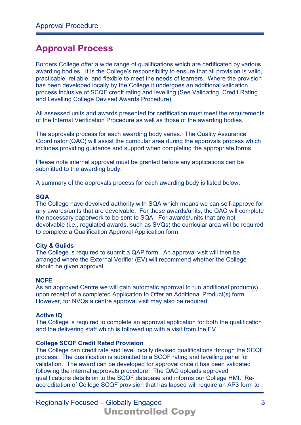# **Approval Process**

Borders College offer a wide range of qualifications which are certificated by various awarding bodies. It is the College's responsibility to ensure that all provision is valid, practicable, reliable, and flexible to meet the needs of learners. Where the provision has been developed locally by the College it undergoes an additional validation process inclusive of SCQF credit rating and levelling (See Validating, Credit Rating and Levelling College Devised Awards Procedure).

All assessed units and awards presented for certification must meet the requirements of the Internal Verification Procedure as well as those of the awarding bodies.

The approvals process for each awarding body varies. The Quality Assurance Coordinator (QAC) will assist the curricular area during the approvals process which includes providing guidance and support when completing the appropriate forms.

Please note internal approval must be granted before any applications can be submitted to the awarding body.

A summary of the approvals process for each awarding body is listed below:

#### **SQA**

The College have devolved authority with SQA which means we can self-approve for any awards/units that are devolvable. For these awards/units, the QAC will complete the necessary paperwork to be sent to SQA. For awards/units that are not devolvable (i.e., regulated awards, such as SVQs) the curricular area will be required to complete a Qualification Approval Application form.

#### **City & Guilds**

The College is required to submit a QAP form. An approval visit will then be arranged where the External Verifier (EV) will recommend whether the College should be given approval.

#### **NCFE**

As an approved Centre we will gain automatic approval to run additional product(s) upon receipt of a completed Application to Offer an Additional Product(s) form. However, for NVQs a centre approval visit may also be required.

#### **Active IQ**

The College is required to complete an approval application for both the qualification and the delivering staff which is followed up with a visit from the EV.

#### **College SCQF Credit Rated Provision**

The College can credit rate and level locally devised qualifications through the SCQF process. The qualification is submitted to a SCQF rating and levelling panel for validation. The award can be developed for approval once it has been validated following the internal approvals procedure. The QAC uploads approved qualifications details on to the SCQF database and informs our College HMI. Reaccreditation of College SCQF provision that has lapsed will require an AP3 form to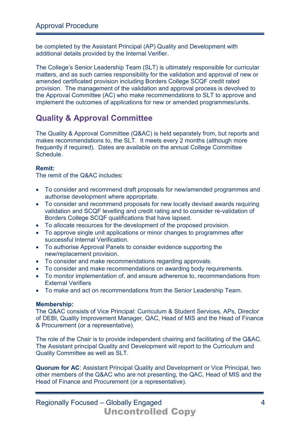be completed by the Assistant Principal (AP) Quality and Development with additional details provided by the Internal Verifier.

The College's Senior Leadership Team (SLT) is ultimately responsible for curricular matters, and as such carries responsibility for the validation and approval of new or amended certificated provision including Borders College SCQF credit rated provision. The management of the validation and approval process is devolved to the Approval Committee (AC) who make recommendations to SLT to approve and implement the outcomes of applications for new or amended programmes/units.

# **Quality & Approval Committee**

The Quality & Approval Committee (Q&AC) is held separately from, but reports and makes recommendations to, the SLT. It meets every 2 months (although more frequently if required). Dates are available on the annual College Committee Schedule.

#### **Remit:**

The remit of the Q&AC includes:

- To consider and recommend draft proposals for new/amended programmes and authorise development where appropriate.
- To consider and recommend proposals for new locally devised awards requiring validation and SCQF levelling and credit rating and to consider re-validation of Borders College SCQF qualifications that have lapsed.
- To allocate resources for the development of the proposed provision.
- To approve single unit applications or minor changes to programmes after successful Internal Verification.
- To authorise Approval Panels to consider evidence supporting the new/replacement provision.
- To consider and make recommendations regarding approvals.
- To consider and make recommendations on awarding body requirements.
- To monitor implementation of, and ensure adherence to, recommendations from External Verifiers
- To make and act on recommendations from the Senior Leadership Team.

#### **Membership:**

The Q&AC consists of Vice Principal: Curriculum & Student Services, APs, Director of DEBI, Quality Improvement Manager, QAC, Head of MIS and the Head of Finance & Procurement (or a representative).

The role of the Chair is to provide independent chairing and facilitating of the Q&AC. The Assistant principal Quality and Development will report to the Curriculum and Quality Committee as well as SLT.

**Quorum for AC**: Assistant Principal Quality and Development or Vice Principal, two other members of the Q&AC who are not presenting, the QAC, Head of MIS and the Head of Finance and Procurement (or a representative).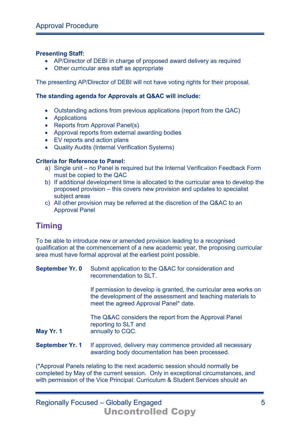#### **Presenting Staff:**

- AP/Director of DEBI in charge of proposed award delivery as required
- Other curricular area staff as appropriate

The presenting AP/Director of DEBI will not have voting rights for their proposal.

#### **The standing agenda for Approvals at Q&AC will include:**

- Outstanding actions from previous applications (report from the QAC)
- Applications
- Reports from Approval Panel(s)
- Approval reports from external awarding bodies
- EV reports and action plans
- Quality Audits (Internal Verification Systems)

#### **Criteria for Reference to Panel:**

- a) Single unit no Panel is required but the Internal Verification Feedback Form must be copied to the QAC
- b) If additional development time is allocated to the curricular area to develop the proposed provision – this covers new provision and updates to specialist subject areas
- c) All other provision may be referred at the discretion of the Q&AC to an Approval Panel

# **Timing**

To be able to introduce new or amended provision leading to a recognised qualification at the commencement of a new academic year, the proposing curricular area must have formal approval at the earliest point possible.

| <b>September Yr. 0</b>                                                                                                          | Submit application to the Q&AC for consideration and<br>recommendation to SLT.                                                                                            |
|---------------------------------------------------------------------------------------------------------------------------------|---------------------------------------------------------------------------------------------------------------------------------------------------------------------------|
|                                                                                                                                 | If permission to develop is granted, the curricular area works on<br>the development of the assessment and teaching materials to<br>meet the agreed Approval Panel* date. |
| May Yr. 1                                                                                                                       | The Q&AC considers the report from the Approval Panel<br>reporting to SLT and<br>annually to CQC.                                                                         |
| September Yr. 1<br>If approved, delivery may commence provided all necessary<br>awarding body documentation has been processed. |                                                                                                                                                                           |

(\*Approval Panels relating to the next academic session should normally be completed by May of the current session. Only in exceptional circumstances, and with permission of the Vice Principal: Curriculum & Student Services should an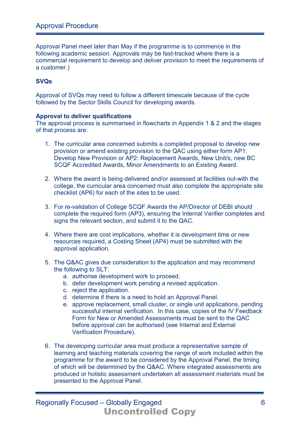Approval Panel meet later than May if the programme is to commence in the following academic session. Approvals may be fast-tracked where there is a commercial requirement to develop and deliver provision to meet the requirements of a customer.)

#### **SVQs**

Approval of SVQs may need to follow a different timescale because of the cycle followed by the Sector Skills Council for developing awards.

#### **Approval to deliver qualifications**

The approval process is summarised in flowcharts in Appendix 1 & 2 and the stages of that process are:

- 1. The curricular area concerned submits a completed proposal to develop new provision or amend existing provision to the QAC using either form AP1: Develop New Provision or AP2: Replacement Awards, New Unit/s, new BC SCQF Accredited Awards, Minor Amendments to an Existing Award.
- 2. Where the award is being delivered and/or assessed at facilities out-with the college, the curricular area concerned must also complete the appropriate site checklist (AP6) for each of the sites to be used.
- 3. For re-validation of College SCQF Awards the AP/Director of DEBI should complete the required form (AP3), ensuring the Internal Verifier completes and signs the relevant section, and submit it to the QAC.
- 4. Where there are cost implications, whether it is development time or new resources required, a Costing Sheet (AP4) must be submitted with the approval application.
- 5. The Q&AC gives due consideration to the application and may recommend the following to SLT:
	- a. authorise development work to proceed.
	- b. defer development work pending a revised application.
	- c. reject the application.
	- d. determine if there is a need to hold an Approval Panel.
	- e. approve replacement, small cluster, or single unit applications, pending successful internal verification. In this case, copies of the IV Feedback Form for New or Amended Assessments must be sent to the QAC before approval can be authorised (see Internal and External Verification Procedure).
- 6. The developing curricular area must produce a representative sample of learning and teaching materials covering the range of work included within the programme for the award to be considered by the Approval Panel, the timing of which will be determined by the Q&AC. Where integrated assessments are produced or holistic assessment undertaken all assessment materials must be presented to the Approval Panel.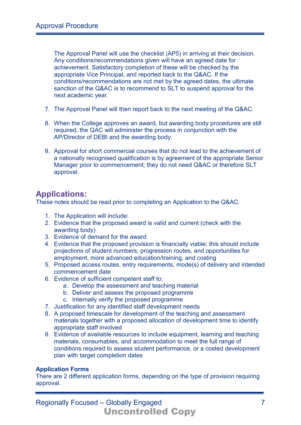The Approval Panel will use the checklist (AP5) in arriving at their decision. Any conditions/recommendations given will have an agreed date for achievement. Satisfactory completion of these will be checked by the appropriate Vice Principal, and reported back to the Q&AC. If the conditions/recommendations are not met by the agreed dates, the ultimate sanction of the Q&AC is to recommend to SLT to suspend approval for the next academic year.

- 7. The Approval Panel will then report back to the next meeting of the Q&AC.
- 8. When the College approves an award, but awarding body procedures are still required, the QAC will administer the process in conjunction with the AP/Director of DEBI and the awarding body.
- 9. Approval for short commercial courses that do not lead to the achievement of a nationally recognised qualification is by agreement of the appropriate Senior Manager prior to commencement; they do not need Q&AC or therefore SLT approval.

# **Applications:**

These notes should be read prior to completing an Application to the Q&AC.

- 1. The Application will include:
- 2. Evidence that the proposed award is valid and current (check with the awarding body)
- 3. Evidence of demand for the award
- 4. Evidence that the proposed provision is financially viable; this should include projections of student numbers, progression routes, and opportunities for employment, more advanced education/training, and costing
- 5. Proposed access routes, entry requirements, mode(s) of delivery and intended commencement date
- 6. Evidence of sufficient competent staff to:
	- a. Develop the assessment and teaching material
	- b. Deliver and assess the proposed programme
	- c. Internally verify the proposed programme
- 7. Justification for any identified staff development needs
- 8. A proposed timescale for development of the teaching and assessment materials together with a proposed allocation of development time to identify appropriate staff involved
- 9. Evidence of available resources to include equipment, learning and teaching materials, consumables, and accommodation to meet the full range of conditions required to assess student performance, or a costed development plan with target completion dates

#### **Application Forms**

There are 2 different application forms, depending on the type of provision requiring approval.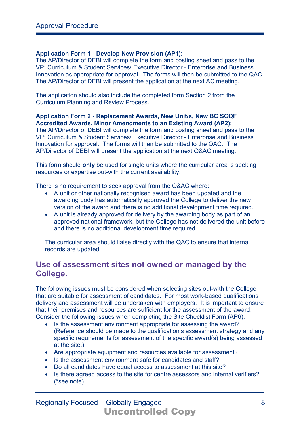#### **Application Form 1 - Develop New Provision (AP1):**

The AP/Director of DEBI will complete the form and costing sheet and pass to the VP: Curriculum & Student Services/ Executive Director - Enterprise and Business Innovation as appropriate for approval. The forms will then be submitted to the QAC. The AP/Director of DEBI will present the application at the next AC meeting.

The application should also include the completed form Section 2 from the Curriculum Planning and Review Process.

#### **Application Form 2 - Replacement Awards, New Unit/s, New BC SCQF Accredited Awards, Minor Amendments to an Existing Award (AP2):**

The AP/Director of DEBI will complete the form and costing sheet and pass to the VP: Curriculum & Student Services/ Executive Director - Enterprise and Business Innovation for approval. The forms will then be submitted to the QAC. The AP/Director of DEBI will present the application at the next Q&AC meeting.

This form should **only** be used for single units where the curricular area is seeking resources or expertise out-with the current availability.

There is no requirement to seek approval from the Q&AC where:

- A unit or other nationally recognised award has been updated and the awarding body has automatically approved the College to deliver the new version of the award and there is no additional development time required.
- A unit is already approved for delivery by the awarding body as part of an approved national framework, but the College has not delivered the unit before and there is no additional development time required.

The curricular area should liaise directly with the QAC to ensure that internal records are updated.

# **Use of assessment sites not owned or managed by the College.**

The following issues must be considered when selecting sites out-with the College that are suitable for assessment of candidates. For most work-based qualifications delivery and assessment will be undertaken with employers. It is important to ensure that their premises and resources are sufficient for the assessment of the award. Consider the following issues when completing the Site Checklist Form (AP6).

- Is the assessment environment appropriate for assessing the award? (Reference should be made to the qualification's assessment strategy and any specific requirements for assessment of the specific award(s) being assessed at the site.)
- Are appropriate equipment and resources available for assessment?
- Is the assessment environment safe for candidates and staff?
- Do all candidates have equal access to assessment at this site?
- Is there agreed access to the site for centre assessors and internal verifiers? (\*see note)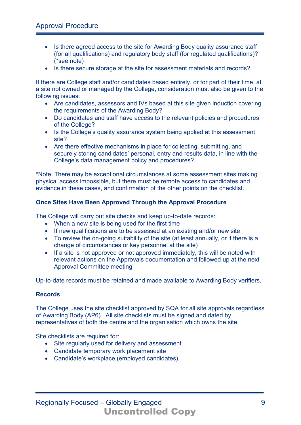- Is there agreed access to the site for Awarding Body quality assurance staff (for all qualifications) and regulatory body staff (for regulated qualifications)? (\*see note)
- Is there secure storage at the site for assessment materials and records?

If there are College staff and/or candidates based entirely, or for part of their time, at a site not owned or managed by the College, consideration must also be given to the following issues:

- Are candidates, assessors and IVs based at this site given induction covering the requirements of the Awarding Body?
- Do candidates and staff have access to the relevant policies and procedures of the College?
- Is the College's quality assurance system being applied at this assessment site?
- Are there effective mechanisms in place for collecting, submitting, and securely storing candidates' personal, entry and results data, in line with the College's data management policy and procedures?

\*Note: There may be exceptional circumstances at some assessment sites making physical access impossible, but there must be remote access to candidates and evidence in these cases, and confirmation of the other points on the checklist.

#### **Once Sites Have Been Approved Through the Approval Procedure**

The College will carry out site checks and keep up-to-date records:

- When a new site is being used for the first time
- If new qualifications are to be assessed at an existing and/or new site
- To review the on-going suitability of the site (at least annually, or if there is a change of circumstances or key personnel at the site)
- If a site is not approved or not approved immediately, this will be noted with relevant actions on the Approvals documentation and followed up at the next Approval Committee meeting

Up-to-date records must be retained and made available to Awarding Body verifiers.

#### **Records**

The College uses the site checklist approved by SQA for all site approvals regardless of Awarding Body (AP6). All site checklists must be signed and dated by representatives of both the centre and the organisation which owns the site.

Site checklists are required for:

- Site regularly used for delivery and assessment
- Candidate temporary work placement site
- Candidate's workplace (employed candidates)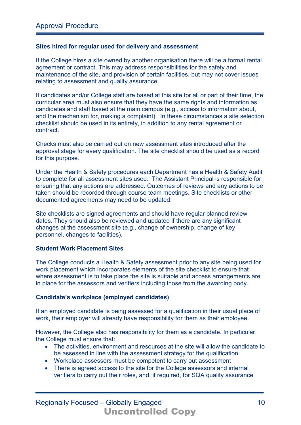#### **Sites hired for regular used for delivery and assessment**

If the College hires a site owned by another organisation there will be a formal rental agreement or contract. This may address responsibilities for the safety and maintenance of the site, and provision of certain facilities, but may not cover issues relating to assessment and quality assurance.

If candidates and/or College staff are based at this site for all or part of their time, the curricular area must also ensure that they have the same rights and information as candidates and staff based at the main campus (e.g., access to information about, and the mechanism for, making a complaint). In these circumstances a site selection checklist should be used in its entirety, in addition to any rental agreement or contract.

Checks must also be carried out on new assessment sites introduced after the approval stage for every qualification. The site checklist should be used as a record for this purpose.

Under the Health & Safety procedures each Department has a Health & Safety Audit to complete for all assessment sites used. The Assistant Principal is responsible for ensuring that any actions are addressed. Outcomes of reviews and any actions to be taken should be recorded through course team meetings. Site checklists or other documented agreements may need to be updated.

Site checklists are signed agreements and should have regular planned review dates. They should also be reviewed and updated if there are any significant changes at the assessment site (e.g., change of ownership, change of key personnel, changes to facilities).

#### **Student Work Placement Sites**

The College conducts a Health & Safety assessment prior to any site being used for work placement which incorporates elements of the site checklist to ensure that where assessment is to take place the site is suitable and access arrangements are in place for the assessors and verifiers including those from the awarding body.

#### **Candidate's workplace (employed candidates)**

If an employed candidate is being assessed for a qualification in their usual place of work, their employer will already have responsibility for them as their employee.

However, the College also has responsibility for them as a candidate. In particular, the College must ensure that:

- The activities, environment and resources at the site will allow the candidate to be assessed in line with the assessment strategy for the qualification.
- Workplace assessors must be competent to carry out assessment
- There is agreed access to the site for the College assessors and internal verifiers to carry out their roles, and, if required, for SQA quality assurance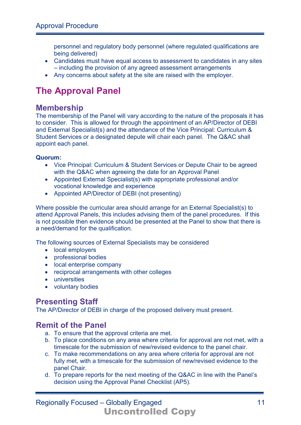personnel and regulatory body personnel (where regulated qualifications are being delivered)

- Candidates must have equal access to assessment to candidates in any sites – including the provision of any agreed assessment arrangements
- Any concerns about safety at the site are raised with the employer.

# **The Approval Panel**

# **Membership**

The membership of the Panel will vary according to the nature of the proposals it has to consider. This is allowed for through the appointment of an AP/Director of DEBI and External Specialist(s) and the attendance of the Vice Principal: Curriculum & Student Services or a designated depute will chair each panel. The Q&AC shall appoint each panel.

#### **Quorum:**

- Vice Principal: Curriculum & Student Services or Depute Chair to be agreed with the Q&AC when agreeing the date for an Approval Panel
- Appointed External Specialist(s) with appropriate professional and/or vocational knowledge and experience
- Appointed AP/Director of DEBI (not presenting)

Where possible the curricular area should arrange for an External Specialist(s) to attend Approval Panels, this includes advising them of the panel procedures. If this is not possible then evidence should be presented at the Panel to show that there is a need/demand for the qualification.

The following sources of External Specialists may be considered

- local employers
- professional bodies
- local enterprise company
- reciprocal arrangements with other colleges
- universities
- voluntary bodies

# **Presenting Staff**

The AP/Director of DEBI in charge of the proposed delivery must present.

# **Remit of the Panel**

- a. To ensure that the approval criteria are met.
- b. To place conditions on any area where criteria for approval are not met, with a timescale for the submission of new/revised evidence to the panel chair.
- c. To make recommendations on any area where criteria for approval are not fully met, with a timescale for the submission of new/revised evidence to the panel Chair.
- d. To prepare reports for the next meeting of the Q&AC in line with the Panel's decision using the Approval Panel Checklist (AP5).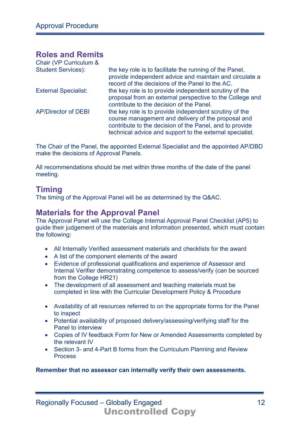# **Roles and Remits**

| Chair (VP Curriculum &      |                                                                                                                                                                                                                                     |
|-----------------------------|-------------------------------------------------------------------------------------------------------------------------------------------------------------------------------------------------------------------------------------|
| <b>Student Services):</b>   | the key role is to facilitate the running of the Panel,<br>provide independent advice and maintain and circulate a<br>record of the decisions of the Panel to the AC.                                                               |
| <b>External Specialist:</b> | the key role is to provide independent scrutiny of the<br>proposal from an external perspective to the College and<br>contribute to the decision of the Panel.                                                                      |
| <b>AP/Director of DEBI</b>  | the key role is to provide independent scrutiny of the<br>course management and delivery of the proposal and<br>contribute to the decision of the Panel, and to provide<br>technical advice and support to the external specialist. |

The Chair of the Panel, the appointed External Specialist and the appointed AP/DBD make the decisions of Approval Panels.

All recommendations should be met within three months of the date of the panel meeting.

# **Timing**

The timing of the Approval Panel will be as determined by the Q&AC.

### **Materials for the Approval Panel**

The Approval Panel will use the College Internal Approval Panel Checklist (AP5) to guide their judgement of the materials and information presented, which must contain the following:

- All Internally Verified assessment materials and checklists for the award
- A list of the component elements of the award
- Evidence of professional qualifications and experience of Assessor and Internal Verifier demonstrating competence to assess/verify (can be sourced from the College HR21)
- The development of all assessment and teaching materials must be completed in line with the Curricular Development Policy & Procedure
- Availability of all resources referred to on the appropriate forms for the Panel to inspect
- Potential availability of proposed delivery/assessing/verifying staff for the Panel to interview
- Copies of IV feedback Form for New or Amended Assessments completed by the relevant IV
- Section 3- and 4-Part B forms from the Curriculum Planning and Review **Process**

**Remember that no assessor can internally verify their own assessments.**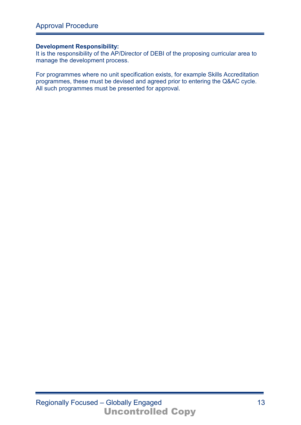#### **Development Responsibility:**

It is the responsibility of the AP/Director of DEBI of the proposing curricular area to manage the development process.

For programmes where no unit specification exists, for example Skills Accreditation programmes, these must be devised and agreed prior to entering the Q&AC cycle. All such programmes must be presented for approval.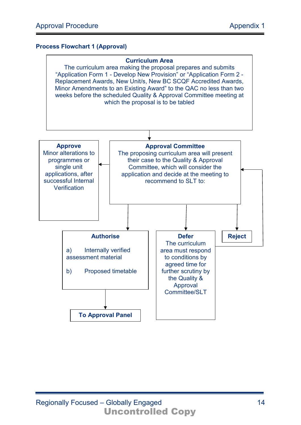#### **Process Flowchart 1 (Approval)**

#### **Curriculum Area**

The curriculum area making the proposal prepares and submits "Application Form 1 - Develop New Provision" or "Application Form 2 - Replacement Awards, New Unit/s, New BC SCQF Accredited Awards, Minor Amendments to an Existing Award" to the QAC no less than two weeks before the scheduled Quality & Approval Committee meeting at which the proposal is to be tabled

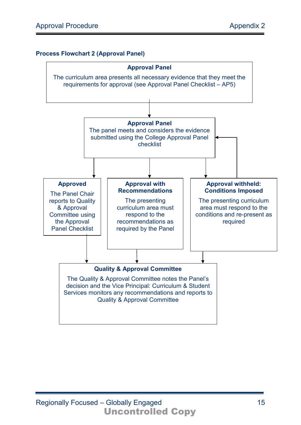#### **Process Flowchart 2 (Approval Panel)**